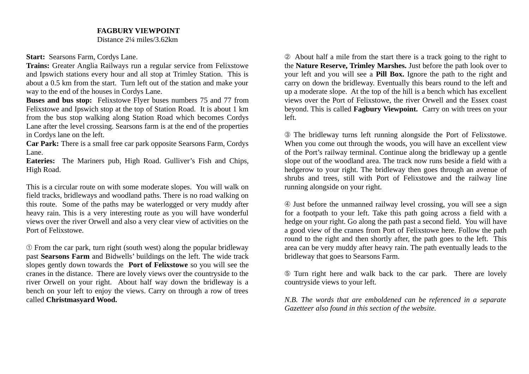## **FAGBURY VIEWPOINT**

Distance 2¼ miles/3.62km

**Start: Searsons Farm, Cordys Lane.** 

**Trains:** Greater Anglia Railways run a regular service from Felixstowe and Ipswich stations every hour and all stop at Trimley Station. This is about a 0.5 km from the start. Turn left out of the station and make your way to the end of the houses in Cordys Lane.

**Buses and bus stop:** Felixstowe Flyer buses numbers 75 and 77 from Felixstowe and Ipswich stop at the top of Station Road. It is about 1 km from the bus stop walking along Station Road which becomes Cordys Lane after the level crossing. Searsons farm is at the end of the properties in Cordys lane on the left.

**Car Park:** There is a small free car park opposite Searsons Farm, Cordys Lane.

**Eateries:** The Mariners pub, High Road. Gulliver's Fish and Chips, High Road.

This is a circular route on with some moderate slopes. You will walk on field tracks, bridleways and woodland paths. There is no road walking on this route. Some of the paths may be waterlogged or very muddy after heavy rain. This is a very interesting route as you will have wonderful views over the river Orwell and also a very clear view of activities on the Port of Felixstowe.

➀ From the car park, turn right (south west) along the popular bridleway past **Searsons Farm** and Bidwells' buildings on the left. The wide track slopes gently down towards the **Port of Felixstowe** so you will see the cranes in the distance. There are lovely views over the countryside to the river Orwell on your right. About half way down the bridleway is a bench on your left to enjoy the views. Carry on through a row of trees called **Christmasyard Wood.** 

➁ About half a mile from the start there is a track going to the right to the **Nature Reserve, Trimley Marshes.** Just before the path look over to your left and you will see a **Pill Box.** Ignore the path to the right and carry on down the bridleway. Eventually this bears round to the left and up a moderate slope. At the top of the hill is a bench which has excellent views over the Port of Felixstowe, the river Orwell and the Essex coast beyond. This is called **Fagbury Viewpoint.** Carry on with trees on your left.

➂ The bridleway turns left running alongside the Port of Felixstowe. When you come out through the woods, you will have an excellent view of the Port's railway terminal. Continue along the bridleway up a gentle slope out of the woodland area. The track now runs beside a field with a hedgerow to your right. The bridleway then goes through an avenue of shrubs and trees, still with Port of Felixstowe and the railway line running alongside on your right.

➃ Just before the unmanned railway level crossing, you will see a sign for a footpath to your left. Take this path going across a field with a hedge on your right. Go along the path past a second field. You will have a good view of the cranes from Port of Felixstowe here. Follow the path round to the right and then shortly after, the path goes to the left. This area can be very muddy after heavy rain. The path eventually leads to the bridleway that goes to Searsons Farm.

➄ Turn right here and walk back to the car park. There are lovely countryside views to your left.

*N.B. The words that are emboldened can be referenced in a separate Gazetteer also found in this section of the website.*